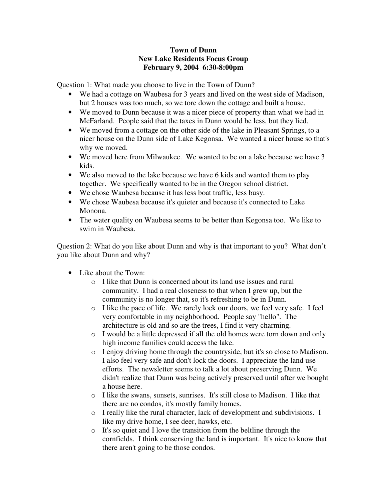## **Town of Dunn New Lake Residents Focus Group February 9, 2004 6:30-8:00pm**

Question 1: What made you choose to live in the Town of Dunn?

- We had a cottage on Waubesa for 3 years and lived on the west side of Madison, but 2 houses was too much, so we tore down the cottage and built a house.
- We moved to Dunn because it was a nicer piece of property than what we had in McFarland. People said that the taxes in Dunn would be less, but they lied.
- We moved from a cottage on the other side of the lake in Pleasant Springs, to a nicer house on the Dunn side of Lake Kegonsa. We wanted a nicer house so that's why we moved.
- We moved here from Milwaukee. We wanted to be on a lake because we have 3 kids.
- We also moved to the lake because we have 6 kids and wanted them to play together. We specifically wanted to be in the Oregon school district.
- We chose Waubesa because it has less boat traffic, less busy.
- We chose Waubesa because it's quieter and because it's connected to Lake Monona.
- The water quality on Waubesa seems to be better than Kegonsa too. We like to swim in Waubesa.

Question 2: What do you like about Dunn and why is that important to you? What don't you like about Dunn and why?

- Like about the Town:
	- o I like that Dunn is concerned about its land use issues and rural community. I had a real closeness to that when I grew up, but the community is no longer that, so it's refreshing to be in Dunn.
	- o I like the pace of life. We rarely lock our doors, we feel very safe. I feel very comfortable in my neighborhood. People say "hello". The architecture is old and so are the trees, I find it very charming.
	- o I would be a little depressed if all the old homes were torn down and only high income families could access the lake.
	- o I enjoy driving home through the countryside, but it's so close to Madison. I also feel very safe and don't lock the doors. I appreciate the land use efforts. The newsletter seems to talk a lot about preserving Dunn. We didn't realize that Dunn was being actively preserved until after we bought a house here.
	- o I like the swans, sunsets, sunrises. It's still close to Madison. I like that there are no condos, it's mostly family homes.
	- o I really like the rural character, lack of development and subdivisions. I like my drive home, I see deer, hawks, etc.
	- o It's so quiet and I love the transition from the beltline through the cornfields. I think conserving the land is important. It's nice to know that there aren't going to be those condos.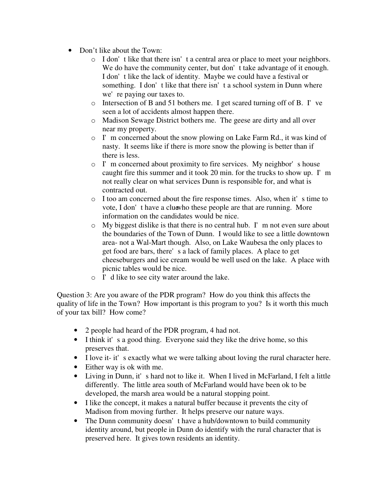- Don't like about the Town:
	- o I don't like that there isn't a central area or place to meet your neighbors. We do have the community center, but don't take advantage of it enough. I don't like the lack of identity. Maybe we could have a festival or something. I don't like that there isn't a school system in Dunn where we're paying our taxes to.
	- o Intersection of B and 51 bothers me. I get scared turning off of B. I've seen a lot of accidents almost happen there.
	- o Madison Sewage District bothers me. The geese are dirty and all over near my property.
	- o I'm concerned about the snow plowing on Lake Farm Rd., it was kind of nasty. It seems like if there is more snow the plowing is better than if there is less.
	- o I'm concerned about proximity to fire services. My neighbor's house caught fire this summer and it took 20 min. for the trucks to show up. I'm not really clear on what services Dunn is responsible for, and what is contracted out.
	- o I too am concerned about the fire response times. Also, when it's time to vote, I don't have a clue who these people are that are running. More information on the candidates would be nice.
	- $\circ$  My biggest dislike is that there is no central hub. I'm not even sure about the boundaries of the Town of Dunn. I would like to see a little downtown area- not a Wal-Mart though. Also, on Lake Waubesa the only places to get food are bars, there's a lack of family places. A place to get cheeseburgers and ice cream would be well used on the lake. A place with picnic tables would be nice.
	- o I'd like to see city water around the lake.

Question 3: Are you aware of the PDR program? How do you think this affects the quality of life in the Town? How important is this program to you? Is it worth this much of your tax bill? How come?

- 2 people had heard of the PDR program, 4 had not.
- I think it's a good thing. Everyone said they like the drive home, so this preserves that.
- I love it- it's exactly what we were talking about loving the rural character here.
- Either way is ok with me.
- Living in Dunn, it's hard not to like it. When I lived in McFarland, I felt a little differently. The little area south of McFarland would have been ok to be developed, the marsh area would be a natural stopping point.
- I like the concept, it makes a natural buffer because it prevents the city of Madison from moving further. It helps preserve our nature ways.
- The Dunn community doesn't have a hub/downtown to build community identity around, but people in Dunn do identify with the rural character that is preserved here. It gives town residents an identity.